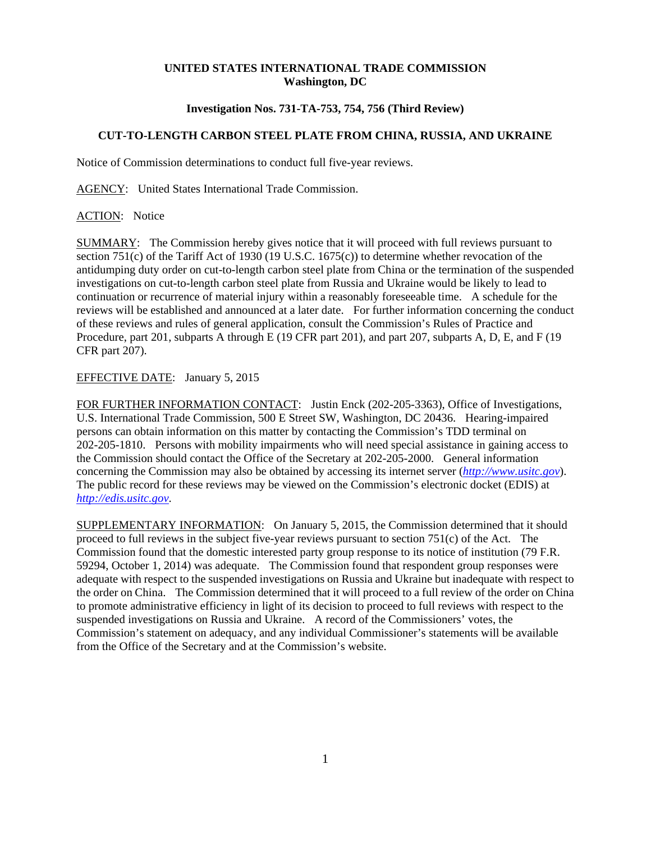## **UNITED STATES INTERNATIONAL TRADE COMMISSION Washington, DC**

## **Investigation Nos. 731-TA-753, 754, 756 (Third Review)**

## **CUT-TO-LENGTH CARBON STEEL PLATE FROM CHINA, RUSSIA, AND UKRAINE**

Notice of Commission determinations to conduct full five-year reviews.

AGENCY: United States International Trade Commission.

ACTION: Notice

SUMMARY: The Commission hereby gives notice that it will proceed with full reviews pursuant to section 751(c) of the Tariff Act of 1930 (19 U.S.C. 1675(c)) to determine whether revocation of the antidumping duty order on cut-to-length carbon steel plate from China or the termination of the suspended investigations on cut-to-length carbon steel plate from Russia and Ukraine would be likely to lead to continuation or recurrence of material injury within a reasonably foreseeable time. A schedule for the reviews will be established and announced at a later date. For further information concerning the conduct of these reviews and rules of general application, consult the Commission's Rules of Practice and Procedure, part 201, subparts A through E (19 CFR part 201), and part 207, subparts A, D, E, and F (19 CFR part 207).

## EFFECTIVE DATE: January 5, 2015

FOR FURTHER INFORMATION CONTACT: Justin Enck (202-205-3363), Office of Investigations, U.S. International Trade Commission, 500 E Street SW, Washington, DC 20436. Hearing-impaired persons can obtain information on this matter by contacting the Commission's TDD terminal on 202-205-1810. Persons with mobility impairments who will need special assistance in gaining access to the Commission should contact the Office of the Secretary at 202-205-2000. General information concerning the Commission may also be obtained by accessing its internet server (*http://www.usitc.gov*). The public record for these reviews may be viewed on the Commission's electronic docket (EDIS) at *http://edis.usitc.gov*.

SUPPLEMENTARY INFORMATION: On January 5, 2015, the Commission determined that it should proceed to full reviews in the subject five-year reviews pursuant to section 751(c) of the Act. The Commission found that the domestic interested party group response to its notice of institution (79 F.R. 59294, October 1, 2014) was adequate. The Commission found that respondent group responses were adequate with respect to the suspended investigations on Russia and Ukraine but inadequate with respect to the order on China. The Commission determined that it will proceed to a full review of the order on China to promote administrative efficiency in light of its decision to proceed to full reviews with respect to the suspended investigations on Russia and Ukraine. A record of the Commissioners' votes, the Commission's statement on adequacy, and any individual Commissioner's statements will be available from the Office of the Secretary and at the Commission's website.